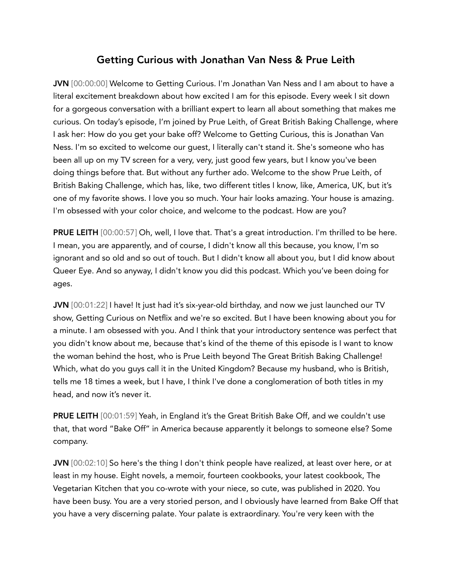## Getting Curious with Jonathan Van Ness & Prue Leith

JVN [00:00:00] Welcome to Getting Curious. I'm Jonathan Van Ness and I am about to have a literal excitement breakdown about how excited I am for this episode. Every week I sit down for a gorgeous conversation with a brilliant expert to learn all about something that makes me curious. On today's episode, I'm joined by Prue Leith, of Great British Baking Challenge, where I ask her: How do you get your bake off? Welcome to Getting Curious, this is Jonathan Van Ness. I'm so excited to welcome our guest, I literally can't stand it. She's someone who has been all up on my TV screen for a very, very, just good few years, but I know you've been doing things before that. But without any further ado. Welcome to the show Prue Leith, of British Baking Challenge, which has, like, two different titles I know, like, America, UK, but it's one of my favorite shows. I love you so much. Your hair looks amazing. Your house is amazing. I'm obsessed with your color choice, and welcome to the podcast. How are you?

PRUE LEITH [00:00:57] Oh, well, I love that. That's a great introduction. I'm thrilled to be here. I mean, you are apparently, and of course, I didn't know all this because, you know, I'm so ignorant and so old and so out of touch. But I didn't know all about you, but I did know about Queer Eye. And so anyway, I didn't know you did this podcast. Which you've been doing for ages.

JVN [00:01:22] I have! It just had it's six-year-old birthday, and now we just launched our TV show, Getting Curious on Netflix and we're so excited. But I have been knowing about you for a minute. I am obsessed with you. And I think that your introductory sentence was perfect that you didn't know about me, because that's kind of the theme of this episode is I want to know the woman behind the host, who is Prue Leith beyond The Great British Baking Challenge! Which, what do you guys call it in the United Kingdom? Because my husband, who is British, tells me 18 times a week, but I have, I think I've done a conglomeration of both titles in my head, and now it's never it.

PRUE LEITH [00:01:59] Yeah, in England it's the Great British Bake Off, and we couldn't use that, that word "Bake Off" in America because apparently it belongs to someone else? Some company.

JVN [00:02:10] So here's the thing I don't think people have realized, at least over here, or at least in my house. Eight novels, a memoir, fourteen cookbooks, your latest cookbook, The Vegetarian Kitchen that you co-wrote with your niece, so cute, was published in 2020. You have been busy. You are a very storied person, and I obviously have learned from Bake Off that you have a very discerning palate. Your palate is extraordinary. You're very keen with the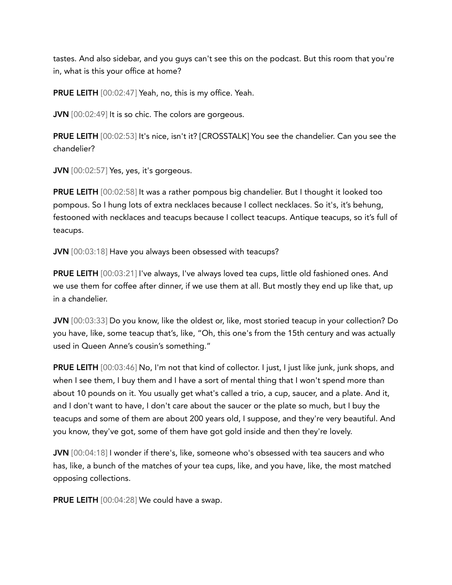tastes. And also sidebar, and you guys can't see this on the podcast. But this room that you're in, what is this your office at home?

PRUE LEITH [00:02:47] Yeah, no, this is my office. Yeah.

**JVN** [00:02:49] It is so chic. The colors are gorgeous.

**PRUE LEITH** [00:02:53] It's nice, isn't it? [CROSSTALK] You see the chandelier. Can you see the chandelier?

JVN [00:02:57] Yes, yes, it's gorgeous.

PRUE LEITH [00:02:58] It was a rather pompous big chandelier. But I thought it looked too pompous. So I hung lots of extra necklaces because I collect necklaces. So it's, it's behung, festooned with necklaces and teacups because I collect teacups. Antique teacups, so it's full of teacups.

JVN [00:03:18] Have you always been obsessed with teacups?

PRUE LEITH [00:03:21] I've always, I've always loved tea cups, little old fashioned ones. And we use them for coffee after dinner, if we use them at all. But mostly they end up like that, up in a chandelier.

JVN [00:03:33] Do you know, like the oldest or, like, most storied teacup in your collection? Do you have, like, some teacup that's, like, "Oh, this one's from the 15th century and was actually used in Queen Anne's cousin's something."

PRUE LEITH [00:03:46] No, I'm not that kind of collector. I just, I just like junk, junk shops, and when I see them, I buy them and I have a sort of mental thing that I won't spend more than about 10 pounds on it. You usually get what's called a trio, a cup, saucer, and a plate. And it, and I don't want to have, I don't care about the saucer or the plate so much, but I buy the teacups and some of them are about 200 years old, I suppose, and they're very beautiful. And you know, they've got, some of them have got gold inside and then they're lovely.

JVN [00:04:18] I wonder if there's, like, someone who's obsessed with tea saucers and who has, like, a bunch of the matches of your tea cups, like, and you have, like, the most matched opposing collections.

PRUE LEITH [00:04:28] We could have a swap.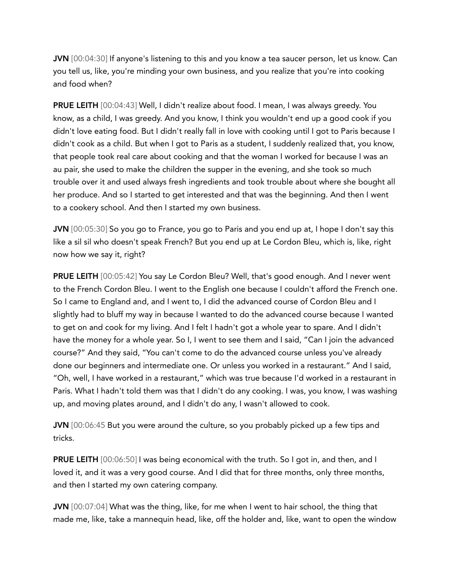JVN [00:04:30] If anyone's listening to this and you know a tea saucer person, let us know. Can you tell us, like, you're minding your own business, and you realize that you're into cooking and food when?

PRUE LEITH [00:04:43] Well, I didn't realize about food. I mean, I was always greedy. You know, as a child, I was greedy. And you know, I think you wouldn't end up a good cook if you didn't love eating food. But I didn't really fall in love with cooking until I got to Paris because I didn't cook as a child. But when I got to Paris as a student, I suddenly realized that, you know, that people took real care about cooking and that the woman I worked for because I was an au pair, she used to make the children the supper in the evening, and she took so much trouble over it and used always fresh ingredients and took trouble about where she bought all her produce. And so I started to get interested and that was the beginning. And then I went to a cookery school. And then I started my own business.

JVN [00:05:30] So you go to France, you go to Paris and you end up at, I hope I don't say this like a sil sil who doesn't speak French? But you end up at Le Cordon Bleu, which is, like, right now how we say it, right?

PRUE LEITH [00:05:42] You say Le Cordon Bleu? Well, that's good enough. And I never went to the French Cordon Bleu. I went to the English one because I couldn't afford the French one. So I came to England and, and I went to, I did the advanced course of Cordon Bleu and I slightly had to bluff my way in because I wanted to do the advanced course because I wanted to get on and cook for my living. And I felt I hadn't got a whole year to spare. And I didn't have the money for a whole year. So I, I went to see them and I said, "Can I join the advanced course?" And they said, "You can't come to do the advanced course unless you've already done our beginners and intermediate one. Or unless you worked in a restaurant." And I said, "Oh, well, I have worked in a restaurant," which was true because I'd worked in a restaurant in Paris. What I hadn't told them was that I didn't do any cooking. I was, you know, I was washing up, and moving plates around, and I didn't do any, I wasn't allowed to cook.

JVN [00:06:45 But you were around the culture, so you probably picked up a few tips and tricks.

**PRUE LEITH** [00:06:50] I was being economical with the truth. So I got in, and then, and I loved it, and it was a very good course. And I did that for three months, only three months, and then I started my own catering company.

JVN [00:07:04] What was the thing, like, for me when I went to hair school, the thing that made me, like, take a mannequin head, like, off the holder and, like, want to open the window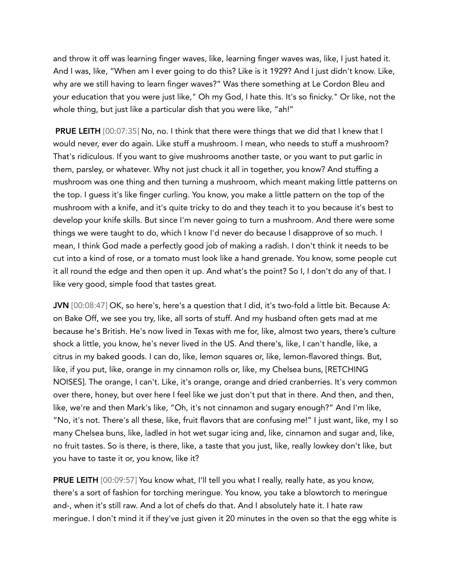and throw it off was learning finger waves, like, learning finger waves was, like, I just hated it. And I was, like, "When am I ever going to do this? Like is it 1929? And I just didn't know. Like, why are we still having to learn finger waves?" Was there something at Le Cordon Bleu and your education that you were just like," Oh my God, I hate this. It's so finicky." Or like, not the whole thing, but just like a particular dish that you were like, "ah!"

PRUE LEITH [00:07:35] No, no. I think that there were things that we did that I knew that I would never, ever do again. Like stuff a mushroom. I mean, who needs to stuff a mushroom? That's ridiculous. If you want to give mushrooms another taste, or you want to put garlic in them, parsley, or whatever. Why not just chuck it all in together, you know? And stuffing a mushroom was one thing and then turning a mushroom, which meant making little patterns on the top. I guess it's like finger curling. You know, you make a little pattern on the top of the mushroom with a knife, and it's quite tricky to do and they teach it to you because it's best to develop your knife skills. But since I'm never going to turn a mushroom. And there were some things we were taught to do, which I know I'd never do because I disapprove of so much. I mean, I think God made a perfectly good job of making a radish. I don't think it needs to be cut into a kind of rose, or a tomato must look like a hand grenade. You know, some people cut it all round the edge and then open it up. And what's the point? So I, I don't do any of that. I like very good, simple food that tastes great.

JVN [00:08:47] OK, so here's, here's a question that I did, it's two-fold a little bit. Because A: on Bake Off, we see you try, like, all sorts of stuff. And my husband often gets mad at me because he's British. He's now lived in Texas with me for, like, almost two years, there's culture shock a little, you know, he's never lived in the US. And there's, like, I can't handle, like, a citrus in my baked goods. I can do, like, lemon squares or, like, lemon-flavored things. But, like, if you put, like, orange in my cinnamon rolls or, like, my Chelsea buns, [RETCHING NOISES]. The orange, I can't. Like, it's orange, orange and dried cranberries. It's very common over there, honey, but over here I feel like we just don't put that in there. And then, and then, like, we're and then Mark's like, "Oh, it's not cinnamon and sugary enough?" And I'm like, "No, it's not. There's all these, like, fruit flavors that are confusing me!" I just want, like, my I so many Chelsea buns, like, ladled in hot wet sugar icing and, like, cinnamon and sugar and, like, no fruit tastes. So is there, is there, like, a taste that you just, like, really lowkey don't like, but you have to taste it or, you know, like it?

PRUE LEITH [00:09:57] You know what, I'll tell you what I really, really hate, as you know, there's a sort of fashion for torching meringue. You know, you take a blowtorch to meringue and-, when it's still raw. And a lot of chefs do that. And I absolutely hate it. I hate raw meringue. I don't mind it if they've just given it 20 minutes in the oven so that the egg white is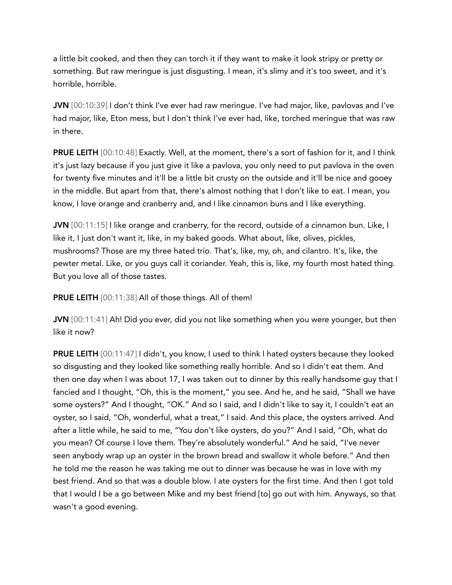a little bit cooked, and then they can torch it if they want to make it look stripy or pretty or something. But raw meringue is just disgusting. I mean, it's slimy and it's too sweet, and it's horrible, horrible.

JVN [00:10:39] I don't think I've ever had raw meringue. I've had major, like, pavlovas and I've had major, like, Eton mess, but I don't think I've ever had, like, torched meringue that was raw in there.

PRUE LEITH [00:10:48] Exactly. Well, at the moment, there's a sort of fashion for it, and I think it's just lazy because if you just give it like a pavlova, you only need to put pavlova in the oven for twenty five minutes and it'll be a little bit crusty on the outside and it'll be nice and gooey in the middle. But apart from that, there's almost nothing that I don't like to eat. I mean, you know, I love orange and cranberry and, and I like cinnamon buns and I like everything.

JVN [00:11:15] I like orange and cranberry, for the record, outside of a cinnamon bun. Like, I like it, I just don't want it, like, in my baked goods. What about, like, olives, pickles, mushrooms? Those are my three hated trio. That's, like, my, oh, and cilantro. It's, like, the pewter metal. Like, or you guys call it coriander. Yeah, this is, like, my fourth most hated thing. But you love all of those tastes.

**PRUE LEITH** [00:11:38] All of those things. All of them!

JVN [00:11:41] Ah! Did you ever, did you not like something when you were younger, but then like it now?

PRUE LEITH [00:11:47] I didn't, you know, I used to think I hated oysters because they looked so disgusting and they looked like something really horrible. And so I didn't eat them. And then one day when I was about 17, I was taken out to dinner by this really handsome guy that I fancied and I thought, "Oh, this is the moment," you see. And he, and he said, "Shall we have some oysters?" And I thought, "OK." And so I said, and I didn't like to say it, I couldn't eat an oyster, so I said, "Oh, wonderful, what a treat," I said. And this place, the oysters arrived. And after a little while, he said to me, "You don't like oysters, do you?" And I said, "Oh, what do you mean? Of course I love them. They're absolutely wonderful." And he said, "I've never seen anybody wrap up an oyster in the brown bread and swallow it whole before." And then he told me the reason he was taking me out to dinner was because he was in love with my best friend. And so that was a double blow. I ate oysters for the first time. And then I got told that I would I be a go between Mike and my best friend [to] go out with him. Anyways, so that wasn't a good evening.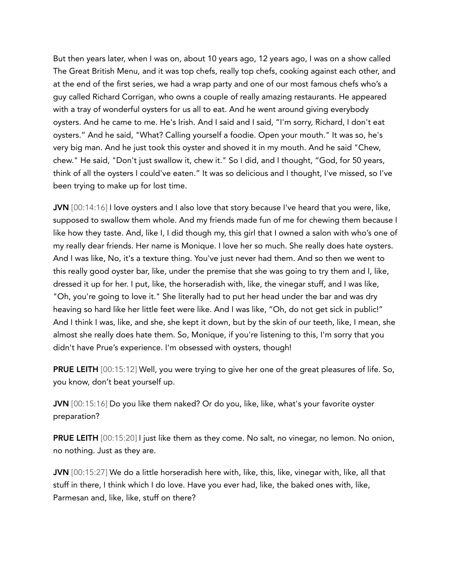But then years later, when I was on, about 10 years ago, 12 years ago, I was on a show called The Great British Menu, and it was top chefs, really top chefs, cooking against each other, and at the end of the first series, we had a wrap party and one of our most famous chefs who's a guy called Richard Corrigan, who owns a couple of really amazing restaurants. He appeared with a tray of wonderful oysters for us all to eat. And he went around giving everybody oysters. And he came to me. He's Irish. And I said and I said, "I'm sorry, Richard, I don't eat oysters." And he said, "What? Calling yourself a foodie. Open your mouth." It was so, he's very big man. And he just took this oyster and shoved it in my mouth. And he said "Chew, chew." He said, "Don't just swallow it, chew it." So I did, and I thought, "God, for 50 years, think of all the oysters I could've eaten." It was so delicious and I thought, I've missed, so I've been trying to make up for lost time.

JVN  $[00:14:16]$  I love oysters and I also love that story because I've heard that you were, like, supposed to swallow them whole. And my friends made fun of me for chewing them because I like how they taste. And, like I, I did though my, this girl that I owned a salon with who's one of my really dear friends. Her name is Monique. I love her so much. She really does hate oysters. And I was like, No, it's a texture thing. You've just never had them. And so then we went to this really good oyster bar, like, under the premise that she was going to try them and I, like, dressed it up for her. I put, like, the horseradish with, like, the vinegar stuff, and I was like, "Oh, you're going to love it." She literally had to put her head under the bar and was dry heaving so hard like her little feet were like. And I was like, "Oh, do not get sick in public!" And I think I was, like, and she, she kept it down, but by the skin of our teeth, like, I mean, she almost she really does hate them. So, Monique, if you're listening to this, I'm sorry that you didn't have Prue's experience. I'm obsessed with oysters, though!

PRUE LEITH [00:15:12] Well, you were trying to give her one of the great pleasures of life. So, you know, don't beat yourself up.

JVN [00:15:16] Do you like them naked? Or do you, like, like, what's your favorite oyster preparation?

PRUE LEITH [00:15:20] I just like them as they come. No salt, no vinegar, no lemon. No onion, no nothing. Just as they are.

JVN [00:15:27] We do a little horseradish here with, like, this, like, vinegar with, like, all that stuff in there, I think which I do love. Have you ever had, like, the baked ones with, like, Parmesan and, like, like, stuff on there?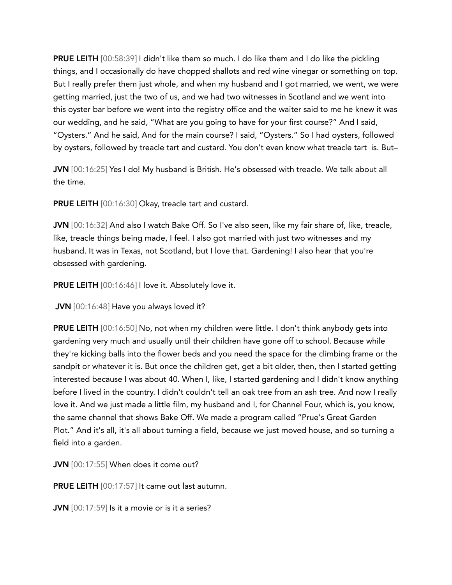**PRUE LEITH** [00:58:39] I didn't like them so much. I do like them and I do like the pickling things, and I occasionally do have chopped shallots and red wine vinegar or something on top. But I really prefer them just whole, and when my husband and I got married, we went, we were getting married, just the two of us, and we had two witnesses in Scotland and we went into this oyster bar before we went into the registry office and the waiter said to me he knew it was our wedding, and he said, "What are you going to have for your first course?" And I said, "Oysters." And he said, And for the main course? I said, "Oysters." So I had oysters, followed by oysters, followed by treacle tart and custard. You don't even know what treacle tart is. But–

JVN [00:16:25] Yes I do! My husband is British. He's obsessed with treacle. We talk about all the time.

PRUE LEITH [00:16:30] Okay, treacle tart and custard.

JVN [00:16:32] And also I watch Bake Off. So I've also seen, like my fair share of, like, treacle, like, treacle things being made, I feel. I also got married with just two witnesses and my husband. It was in Texas, not Scotland, but I love that. Gardening! I also hear that you're obsessed with gardening.

PRUE LEITH [00:16:46] I love it. Absolutely love it.

JVN [00:16:48] Have you always loved it?

PRUE LEITH [00:16:50] No, not when my children were little. I don't think anybody gets into gardening very much and usually until their children have gone off to school. Because while they're kicking balls into the flower beds and you need the space for the climbing frame or the sandpit or whatever it is. But once the children get, get a bit older, then, then I started getting interested because I was about 40. When I, like, I started gardening and I didn't know anything before I lived in the country. I didn't couldn't tell an oak tree from an ash tree. And now I really love it. And we just made a little film, my husband and I, for Channel Four, which is, you know, the same channel that shows Bake Off. We made a program called "Prue's Great Garden Plot." And it's all, it's all about turning a field, because we just moved house, and so turning a field into a garden.

JVN [00:17:55] When does it come out?

PRUE LEITH [00:17:57] It came out last autumn.

JVN [00:17:59] Is it a movie or is it a series?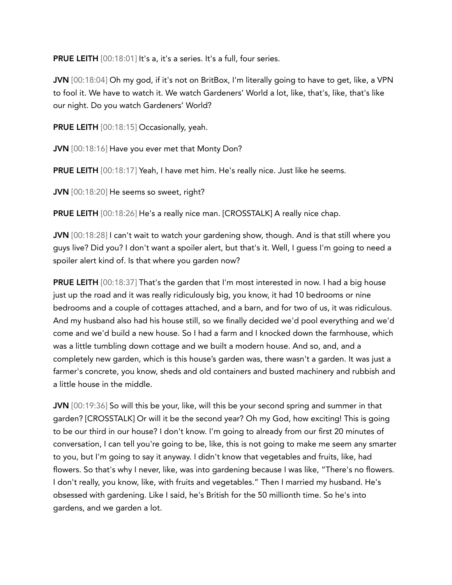**PRUE LEITH** [00:18:01] It's a, it's a series. It's a full, four series.

JVN [00:18:04] Oh my god, if it's not on BritBox, I'm literally going to have to get, like, a VPN to fool it. We have to watch it. We watch Gardeners' World a lot, like, that's, like, that's like our night. Do you watch Gardeners' World?

PRUE LEITH [00:18:15] Occasionally, yeah.

JVN [00:18:16] Have you ever met that Monty Don?

PRUE LEITH [00:18:17] Yeah, I have met him. He's really nice. Just like he seems.

JVN [00:18:20] He seems so sweet, right?

PRUE LEITH [00:18:26] He's a really nice man. [CROSSTALK] A really nice chap.

JVN [00:18:28] I can't wait to watch your gardening show, though. And is that still where you guys live? Did you? I don't want a spoiler alert, but that's it. Well, I guess I'm going to need a spoiler alert kind of. Is that where you garden now?

**PRUE LEITH** [00:18:37] That's the garden that I'm most interested in now. I had a big house just up the road and it was really ridiculously big, you know, it had 10 bedrooms or nine bedrooms and a couple of cottages attached, and a barn, and for two of us, it was ridiculous. And my husband also had his house still, so we finally decided we'd pool everything and we'd come and we'd build a new house. So I had a farm and I knocked down the farmhouse, which was a little tumbling down cottage and we built a modern house. And so, and, and a completely new garden, which is this house's garden was, there wasn't a garden. It was just a farmer's concrete, you know, sheds and old containers and busted machinery and rubbish and a little house in the middle.

JVN [00:19:36] So will this be your, like, will this be your second spring and summer in that garden? [CROSSTALK] Or will it be the second year? Oh my God, how exciting! This is going to be our third in our house? I don't know. I'm going to already from our first 20 minutes of conversation, I can tell you're going to be, like, this is not going to make me seem any smarter to you, but I'm going to say it anyway. I didn't know that vegetables and fruits, like, had flowers. So that's why I never, like, was into gardening because I was like, "There's no flowers. I don't really, you know, like, with fruits and vegetables." Then I married my husband. He's obsessed with gardening. Like I said, he's British for the 50 millionth time. So he's into gardens, and we garden a lot.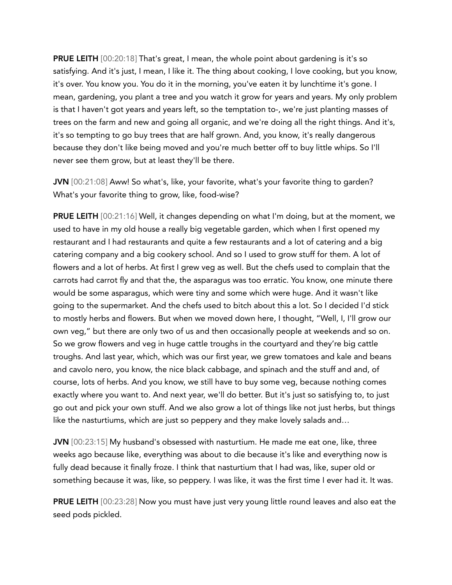PRUE LEITH [00:20:18] That's great, I mean, the whole point about gardening is it's so satisfying. And it's just, I mean, I like it. The thing about cooking, I love cooking, but you know, it's over. You know you. You do it in the morning, you've eaten it by lunchtime it's gone. I mean, gardening, you plant a tree and you watch it grow for years and years. My only problem is that I haven't got years and years left, so the temptation to-, we're just planting masses of trees on the farm and new and going all organic, and we're doing all the right things. And it's, it's so tempting to go buy trees that are half grown. And, you know, it's really dangerous because they don't like being moved and you're much better off to buy little whips. So I'll never see them grow, but at least they'll be there.

JVN [00:21:08] Aww! So what's, like, your favorite, what's your favorite thing to garden? What's your favorite thing to grow, like, food-wise?

PRUE LEITH [00:21:16] Well, it changes depending on what I'm doing, but at the moment, we used to have in my old house a really big vegetable garden, which when I first opened my restaurant and I had restaurants and quite a few restaurants and a lot of catering and a big catering company and a big cookery school. And so I used to grow stuff for them. A lot of flowers and a lot of herbs. At first I grew veg as well. But the chefs used to complain that the carrots had carrot fly and that the, the asparagus was too erratic. You know, one minute there would be some asparagus, which were tiny and some which were huge. And it wasn't like going to the supermarket. And the chefs used to bitch about this a lot. So I decided I'd stick to mostly herbs and flowers. But when we moved down here, I thought, "Well, I, I'll grow our own veg," but there are only two of us and then occasionally people at weekends and so on. So we grow flowers and veg in huge cattle troughs in the courtyard and they're big cattle troughs. And last year, which, which was our first year, we grew tomatoes and kale and beans and cavolo nero, you know, the nice black cabbage, and spinach and the stuff and and, of course, lots of herbs. And you know, we still have to buy some veg, because nothing comes exactly where you want to. And next year, we'll do better. But it's just so satisfying to, to just go out and pick your own stuff. And we also grow a lot of things like not just herbs, but things like the nasturtiums, which are just so peppery and they make lovely salads and…

JVN [00:23:15] My husband's obsessed with nasturtium. He made me eat one, like, three weeks ago because like, everything was about to die because it's like and everything now is fully dead because it finally froze. I think that nasturtium that I had was, like, super old or something because it was, like, so peppery. I was like, it was the first time I ever had it. It was.

PRUE LEITH [00:23:28] Now you must have just very young little round leaves and also eat the seed pods pickled.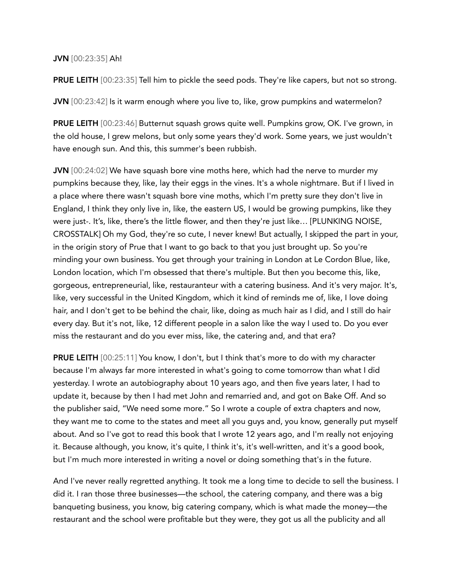## JVN [00:23:35] Ah!

**PRUE LEITH** [00:23:35] Tell him to pickle the seed pods. They're like capers, but not so strong.

JVN [00:23:42] Is it warm enough where you live to, like, grow pumpkins and watermelon?

PRUE LEITH [00:23:46] Butternut squash grows quite well. Pumpkins grow, OK. I've grown, in the old house, I grew melons, but only some years they'd work. Some years, we just wouldn't have enough sun. And this, this summer's been rubbish.

JVN [00:24:02] We have squash bore vine moths here, which had the nerve to murder my pumpkins because they, like, lay their eggs in the vines. It's a whole nightmare. But if I lived in a place where there wasn't squash bore vine moths, which I'm pretty sure they don't live in England, I think they only live in, like, the eastern US, I would be growing pumpkins, like they were just-. It's, like, there's the little flower, and then they're just like… [PLUNKING NOISE, CROSSTALK] Oh my God, they're so cute, I never knew! But actually, I skipped the part in your, in the origin story of Prue that I want to go back to that you just brought up. So you're minding your own business. You get through your training in London at Le Cordon Blue, like, London location, which I'm obsessed that there's multiple. But then you become this, like, gorgeous, entrepreneurial, like, restauranteur with a catering business. And it's very major. It's, like, very successful in the United Kingdom, which it kind of reminds me of, like, I love doing hair, and I don't get to be behind the chair, like, doing as much hair as I did, and I still do hair every day. But it's not, like, 12 different people in a salon like the way I used to. Do you ever miss the restaurant and do you ever miss, like, the catering and, and that era?

PRUE LEITH [00:25:11] You know, I don't, but I think that's more to do with my character because I'm always far more interested in what's going to come tomorrow than what I did yesterday. I wrote an autobiography about 10 years ago, and then five years later, I had to update it, because by then I had met John and remarried and, and got on Bake Off. And so the publisher said, "We need some more." So I wrote a couple of extra chapters and now, they want me to come to the states and meet all you guys and, you know, generally put myself about. And so I've got to read this book that I wrote 12 years ago, and I'm really not enjoying it. Because although, you know, it's quite, I think it's, it's well-written, and it's a good book, but I'm much more interested in writing a novel or doing something that's in the future.

And I've never really regretted anything. It took me a long time to decide to sell the business. I did it. I ran those three businesses—the school, the catering company, and there was a big banqueting business, you know, big catering company, which is what made the money—the restaurant and the school were profitable but they were, they got us all the publicity and all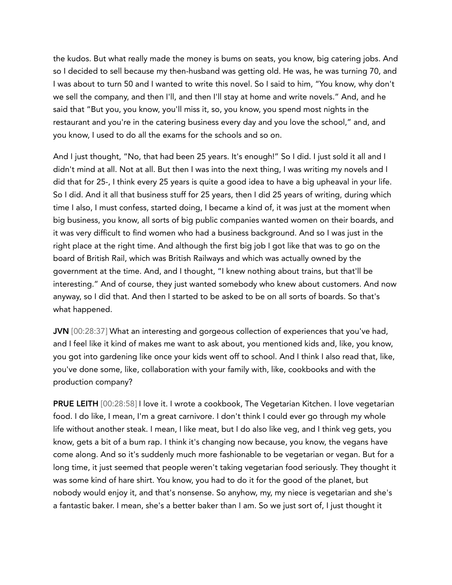the kudos. But what really made the money is bums on seats, you know, big catering jobs. And so I decided to sell because my then-husband was getting old. He was, he was turning 70, and I was about to turn 50 and I wanted to write this novel. So I said to him, "You know, why don't we sell the company, and then I'll, and then I'll stay at home and write novels." And, and he said that "But you, you know, you'll miss it, so, you know, you spend most nights in the restaurant and you're in the catering business every day and you love the school," and, and you know, I used to do all the exams for the schools and so on.

And I just thought, "No, that had been 25 years. It's enough!" So I did. I just sold it all and I didn't mind at all. Not at all. But then I was into the next thing, I was writing my novels and I did that for 25-, I think every 25 years is quite a good idea to have a big upheaval in your life. So I did. And it all that business stuff for 25 years, then I did 25 years of writing, during which time I also, I must confess, started doing, I became a kind of, it was just at the moment when big business, you know, all sorts of big public companies wanted women on their boards, and it was very difficult to find women who had a business background. And so I was just in the right place at the right time. And although the first big job I got like that was to go on the board of British Rail, which was British Railways and which was actually owned by the government at the time. And, and I thought, "I knew nothing about trains, but that'll be interesting." And of course, they just wanted somebody who knew about customers. And now anyway, so I did that. And then I started to be asked to be on all sorts of boards. So that's what happened.

JVN [00:28:37] What an interesting and gorgeous collection of experiences that you've had, and I feel like it kind of makes me want to ask about, you mentioned kids and, like, you know, you got into gardening like once your kids went off to school. And I think I also read that, like, you've done some, like, collaboration with your family with, like, cookbooks and with the production company?

PRUE LEITH [00:28:58] I love it. I wrote a cookbook, The Vegetarian Kitchen. I love vegetarian food. I do like, I mean, I'm a great carnivore. I don't think I could ever go through my whole life without another steak. I mean, I like meat, but I do also like veg, and I think veg gets, you know, gets a bit of a bum rap. I think it's changing now because, you know, the vegans have come along. And so it's suddenly much more fashionable to be vegetarian or vegan. But for a long time, it just seemed that people weren't taking vegetarian food seriously. They thought it was some kind of hare shirt. You know, you had to do it for the good of the planet, but nobody would enjoy it, and that's nonsense. So anyhow, my, my niece is vegetarian and she's a fantastic baker. I mean, she's a better baker than I am. So we just sort of, I just thought it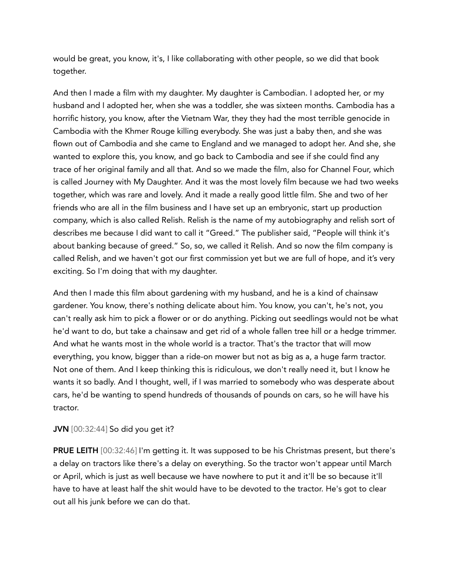would be great, you know, it's, I like collaborating with other people, so we did that book together.

And then I made a film with my daughter. My daughter is Cambodian. I adopted her, or my husband and I adopted her, when she was a toddler, she was sixteen months. Cambodia has a horrific history, you know, after the Vietnam War, they they had the most terrible genocide in Cambodia with the Khmer Rouge killing everybody. She was just a baby then, and she was flown out of Cambodia and she came to England and we managed to adopt her. And she, she wanted to explore this, you know, and go back to Cambodia and see if she could find any trace of her original family and all that. And so we made the film, also for Channel Four, which is called Journey with My Daughter. And it was the most lovely film because we had two weeks together, which was rare and lovely. And it made a really good little film. She and two of her friends who are all in the film business and I have set up an embryonic, start up production company, which is also called Relish. Relish is the name of my autobiography and relish sort of describes me because I did want to call it "Greed." The publisher said, "People will think it's about banking because of greed." So, so, we called it Relish. And so now the film company is called Relish, and we haven't got our first commission yet but we are full of hope, and it's very exciting. So I'm doing that with my daughter.

And then I made this film about gardening with my husband, and he is a kind of chainsaw gardener. You know, there's nothing delicate about him. You know, you can't, he's not, you can't really ask him to pick a flower or or do anything. Picking out seedlings would not be what he'd want to do, but take a chainsaw and get rid of a whole fallen tree hill or a hedge trimmer. And what he wants most in the whole world is a tractor. That's the tractor that will mow everything, you know, bigger than a ride-on mower but not as big as a, a huge farm tractor. Not one of them. And I keep thinking this is ridiculous, we don't really need it, but I know he wants it so badly. And I thought, well, if I was married to somebody who was desperate about cars, he'd be wanting to spend hundreds of thousands of pounds on cars, so he will have his tractor.

## JVN [00:32:44] So did you get it?

PRUE LEITH [00:32:46] I'm getting it. It was supposed to be his Christmas present, but there's a delay on tractors like there's a delay on everything. So the tractor won't appear until March or April, which is just as well because we have nowhere to put it and it'll be so because it'll have to have at least half the shit would have to be devoted to the tractor. He's got to clear out all his junk before we can do that.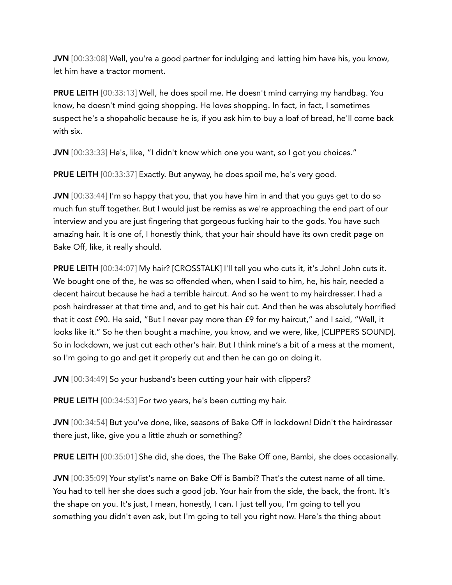JVN [00:33:08] Well, you're a good partner for indulging and letting him have his, you know, let him have a tractor moment.

PRUE LEITH [00:33:13] Well, he does spoil me. He doesn't mind carrying my handbag. You know, he doesn't mind going shopping. He loves shopping. In fact, in fact, I sometimes suspect he's a shopaholic because he is, if you ask him to buy a loaf of bread, he'll come back with six.

JVN [00:33:33] He's, like, "I didn't know which one you want, so I got you choices."

PRUE LEITH [00:33:37] Exactly. But anyway, he does spoil me, he's very good.

JVN [00:33:44] I'm so happy that you, that you have him in and that you guys get to do so much fun stuff together. But I would just be remiss as we're approaching the end part of our interview and you are just fingering that gorgeous fucking hair to the gods. You have such amazing hair. It is one of, I honestly think, that your hair should have its own credit page on Bake Off, like, it really should.

PRUE LEITH [00:34:07] My hair? [CROSSTALK] I'll tell you who cuts it, it's John! John cuts it. We bought one of the, he was so offended when, when I said to him, he, his hair, needed a decent haircut because he had a terrible haircut. And so he went to my hairdresser. I had a posh hairdresser at that time and, and to get his hair cut. And then he was absolutely horrified that it cost £90. He said, "But I never pay more than £9 for my haircut," and I said, "Well, it looks like it." So he then bought a machine, you know, and we were, like, [CLIPPERS SOUND]. So in lockdown, we just cut each other's hair. But I think mine's a bit of a mess at the moment, so I'm going to go and get it properly cut and then he can go on doing it.

JVN [00:34:49] So your husband's been cutting your hair with clippers?

**PRUE LEITH** [00:34:53] For two years, he's been cutting my hair.

JVN [00:34:54] But you've done, like, seasons of Bake Off in lockdown! Didn't the hairdresser there just, like, give you a little zhuzh or something?

PRUE LEITH [00:35:01] She did, she does, the The Bake Off one, Bambi, she does occasionally.

JVN [00:35:09] Your stylist's name on Bake Off is Bambi? That's the cutest name of all time. You had to tell her she does such a good job. Your hair from the side, the back, the front. It's the shape on you. It's just, I mean, honestly, I can. I just tell you, I'm going to tell you something you didn't even ask, but I'm going to tell you right now. Here's the thing about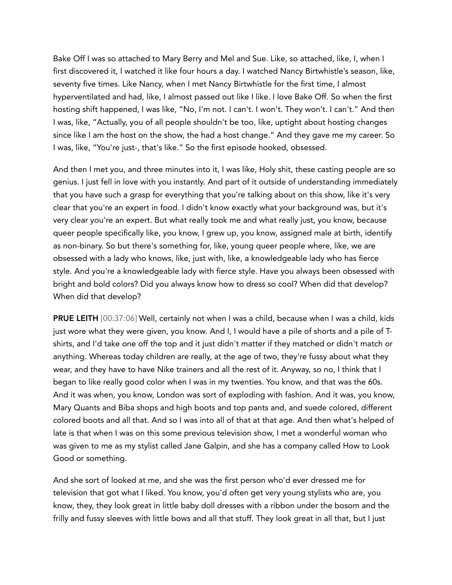Bake Off I was so attached to Mary Berry and Mel and Sue. Like, so attached, like, I, when I first discovered it, I watched it like four hours a day. I watched Nancy Birtwhistle's season, like, seventy five times. Like Nancy, when I met Nancy Birtwhistle for the first time, I almost hyperventilated and had, like, I almost passed out like I like. I love Bake Off. So when the first hosting shift happened, I was like, "No, I'm not. I can't. I won't. They won't. I can't." And then I was, like, "Actually, you of all people shouldn't be too, like, uptight about hosting changes since like I am the host on the show, the had a host change." And they gave me my career. So I was, like, "You're just-, that's like." So the first episode hooked, obsessed.

And then I met you, and three minutes into it, I was like, Holy shit, these casting people are so genius. I just fell in love with you instantly. And part of it outside of understanding immediately that you have such a grasp for everything that you're talking about on this show, like it's very clear that you're an expert in food. I didn't know exactly what your background was, but it's very clear you're an expert. But what really took me and what really just, you know, because queer people specifically like, you know, I grew up, you know, assigned male at birth, identify as non-binary. So but there's something for, like, young queer people where, like, we are obsessed with a lady who knows, like, just with, like, a knowledgeable lady who has fierce style. And you're a knowledgeable lady with fierce style. Have you always been obsessed with bright and bold colors? Did you always know how to dress so cool? When did that develop? When did that develop?

PRUE LEITH [00:37:06] Well, certainly not when I was a child, because when I was a child, kids just wore what they were given, you know. And I, I would have a pile of shorts and a pile of Tshirts, and I'd take one off the top and it just didn't matter if they matched or didn't match or anything. Whereas today children are really, at the age of two, they're fussy about what they wear, and they have to have Nike trainers and all the rest of it. Anyway, so no, I think that I began to like really good color when I was in my twenties. You know, and that was the 60s. And it was when, you know, London was sort of exploding with fashion. And it was, you know, Mary Quants and Biba shops and high boots and top pants and, and suede colored, different colored boots and all that. And so I was into all of that at that age. And then what's helped of late is that when I was on this some previous television show, I met a wonderful woman who was given to me as my stylist called Jane Galpin, and she has a company called How to Look Good or something.

And she sort of looked at me, and she was the first person who'd ever dressed me for television that got what I liked. You know, you'd often get very young stylists who are, you know, they, they look great in little baby doll dresses with a ribbon under the bosom and the frilly and fussy sleeves with little bows and all that stuff. They look great in all that, but I just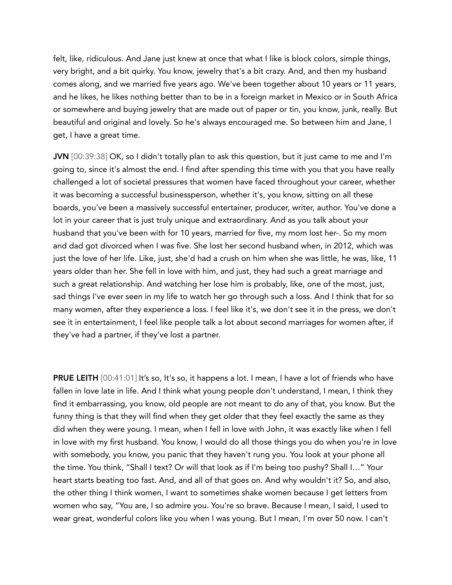felt, like, ridiculous. And Jane just knew at once that what I like is block colors, simple things, very bright, and a bit quirky. You know, jewelry that's a bit crazy. And, and then my husband comes along, and we married five years ago. We've been together about 10 years or 11 years, and he likes, he likes nothing better than to be in a foreign market in Mexico or in South Africa or somewhere and buying jewelry that are made out of paper or tin, you know, junk, really. But beautiful and original and lovely. So he's always encouraged me. So between him and Jane, I get, I have a great time.

JVN [00:39:38] OK, so I didn't totally plan to ask this question, but it just came to me and I'm going to, since it's almost the end. I find after spending this time with you that you have really challenged a lot of societal pressures that women have faced throughout your career, whether it was becoming a successful businessperson, whether it's, you know, sitting on all these boards, you've been a massively successful entertainer, producer, writer, author. You've done a lot in your career that is just truly unique and extraordinary. And as you talk about your husband that you've been with for 10 years, married for five, my mom lost her-. So my mom and dad got divorced when I was five. She lost her second husband when, in 2012, which was just the love of her life. Like, just, she'd had a crush on him when she was little, he was, like, 11 years older than her. She fell in love with him, and just, they had such a great marriage and such a great relationship. And watching her lose him is probably, like, one of the most, just, sad things I've ever seen in my life to watch her go through such a loss. And I think that for so many women, after they experience a loss. I feel like it's, we don't see it in the press, we don't see it in entertainment, I feel like people talk a lot about second marriages for women after, if they've had a partner, if they've lost a partner.

PRUE LEITH [00:41:01] It's so, It's so, it happens a lot. I mean, I have a lot of friends who have fallen in love late in life. And I think what young people don't understand, I mean, I think they find it embarrassing, you know, old people are not meant to do any of that, you know. But the funny thing is that they will find when they get older that they feel exactly the same as they did when they were young. I mean, when I fell in love with John, it was exactly like when I fell in love with my first husband. You know, I would do all those things you do when you're in love with somebody, you know, you panic that they haven't rung you. You look at your phone all the time. You think, "Shall I text? Or will that look as if I'm being too pushy? Shall I…" Your heart starts beating too fast. And, and all of that goes on. And why wouldn't it? So, and also, the other thing I think women, I want to sometimes shake women because I get letters from women who say, "You are, I so admire you. You're so brave. Because I mean, I said, I used to wear great, wonderful colors like you when I was young. But I mean, I'm over 50 now. I can't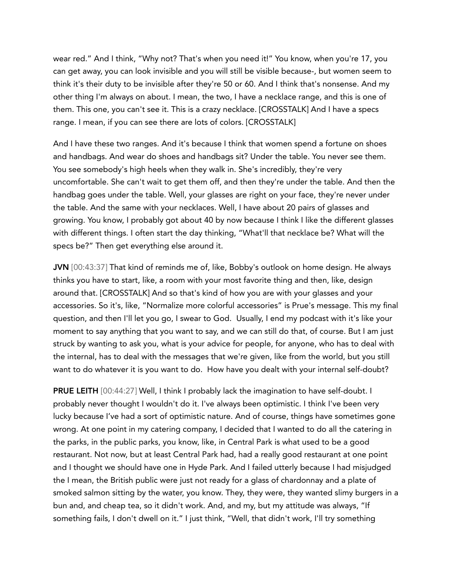wear red." And I think, "Why not? That's when you need it!" You know, when you're 17, you can get away, you can look invisible and you will still be visible because-, but women seem to think it's their duty to be invisible after they're 50 or 60. And I think that's nonsense. And my other thing I'm always on about. I mean, the two, I have a necklace range, and this is one of them. This one, you can't see it. This is a crazy necklace. [CROSSTALK] And I have a specs range. I mean, if you can see there are lots of colors. [CROSSTALK]

And I have these two ranges. And it's because I think that women spend a fortune on shoes and handbags. And wear do shoes and handbags sit? Under the table. You never see them. You see somebody's high heels when they walk in. She's incredibly, they're very uncomfortable. She can't wait to get them off, and then they're under the table. And then the handbag goes under the table. Well, your glasses are right on your face, they're never under the table. And the same with your necklaces. Well, I have about 20 pairs of glasses and growing. You know, I probably got about 40 by now because I think I like the different glasses with different things. I often start the day thinking, "What'll that necklace be? What will the specs be?" Then get everything else around it.

JVN [00:43:37] That kind of reminds me of, like, Bobby's outlook on home design. He always thinks you have to start, like, a room with your most favorite thing and then, like, design around that. [CROSSTALK] And so that's kind of how you are with your glasses and your accessories. So it's, like, "Normalize more colorful accessories" is Prue's message. This my final question, and then I'll let you go, I swear to God. Usually, I end my podcast with it's like your moment to say anything that you want to say, and we can still do that, of course. But I am just struck by wanting to ask you, what is your advice for people, for anyone, who has to deal with the internal, has to deal with the messages that we're given, like from the world, but you still want to do whatever it is you want to do. How have you dealt with your internal self-doubt?

PRUE LEITH [00:44:27] Well, I think I probably lack the imagination to have self-doubt. I probably never thought I wouldn't do it. I've always been optimistic. I think I've been very lucky because I've had a sort of optimistic nature. And of course, things have sometimes gone wrong. At one point in my catering company, I decided that I wanted to do all the catering in the parks, in the public parks, you know, like, in Central Park is what used to be a good restaurant. Not now, but at least Central Park had, had a really good restaurant at one point and I thought we should have one in Hyde Park. And I failed utterly because I had misjudged the I mean, the British public were just not ready for a glass of chardonnay and a plate of smoked salmon sitting by the water, you know. They, they were, they wanted slimy burgers in a bun and, and cheap tea, so it didn't work. And, and my, but my attitude was always, "If something fails, I don't dwell on it." I just think, "Well, that didn't work, I'll try something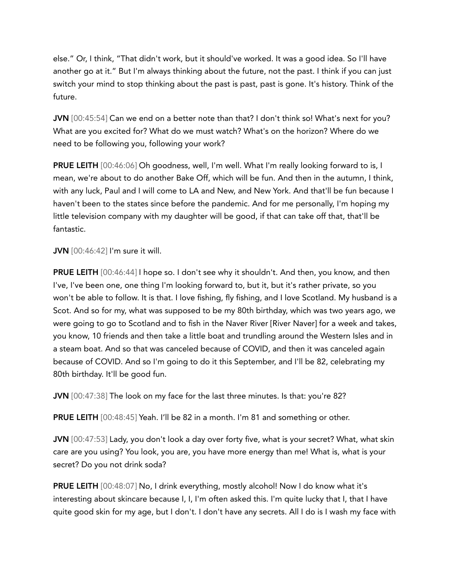else." Or, I think, "That didn't work, but it should've worked. It was a good idea. So I'll have another go at it." But I'm always thinking about the future, not the past. I think if you can just switch your mind to stop thinking about the past is past, past is gone. It's history. Think of the future.

JVN [00:45:54] Can we end on a better note than that? I don't think so! What's next for you? What are you excited for? What do we must watch? What's on the horizon? Where do we need to be following you, following your work?

PRUE LEITH [00:46:06] Oh goodness, well, I'm well. What I'm really looking forward to is, I mean, we're about to do another Bake Off, which will be fun. And then in the autumn, I think, with any luck, Paul and I will come to LA and New, and New York. And that'll be fun because I haven't been to the states since before the pandemic. And for me personally, I'm hoping my little television company with my daughter will be good, if that can take off that, that'll be fantastic.

JVN [00:46:42] I'm sure it will.

PRUE LEITH [00:46:44] I hope so. I don't see why it shouldn't. And then, you know, and then I've, I've been one, one thing I'm looking forward to, but it, but it's rather private, so you won't be able to follow. It is that. I love fishing, fly fishing, and I love Scotland. My husband is a Scot. And so for my, what was supposed to be my 80th birthday, which was two years ago, we were going to go to Scotland and to fish in the Naver River [River Naver] for a week and takes, you know, 10 friends and then take a little boat and trundling around the Western Isles and in a steam boat. And so that was canceled because of COVID, and then it was canceled again because of COVID. And so I'm going to do it this September, and I'll be 82, celebrating my 80th birthday. It'll be good fun.

JVN [00:47:38] The look on my face for the last three minutes. Is that: you're 82?

PRUE LEITH [00:48:45] Yeah. I'll be 82 in a month. I'm 81 and something or other.

JVN [00:47:53] Lady, you don't look a day over forty five, what is your secret? What, what skin care are you using? You look, you are, you have more energy than me! What is, what is your secret? Do you not drink soda?

PRUE LEITH [00:48:07] No, I drink everything, mostly alcohol! Now I do know what it's interesting about skincare because I, I, I'm often asked this. I'm quite lucky that I, that I have quite good skin for my age, but I don't. I don't have any secrets. All I do is I wash my face with